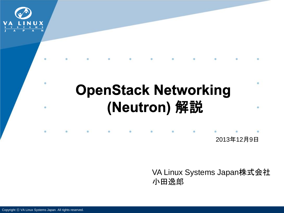

## **OpenStack Networking** (Neutron) 解説

2013年12月9日

VA Linux Systems Japan株式会社 小田逸郎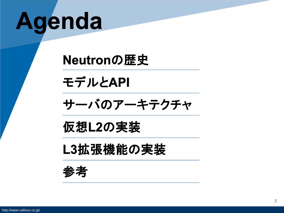# Agenda

Neutronの歴史

モデルとAPI

サーバのアーキテクチャ

仮想L2の実装

L3拡張機能の実装

参考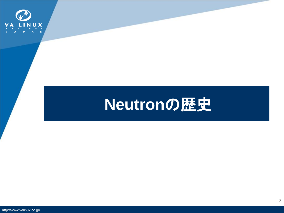

## **Neutron**の歴史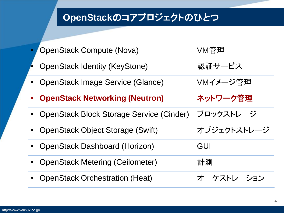### **OpenStack**のコアプロジェクトのひとつ

| <b>OpenStack Compute (Nova)</b>                    | VM管理        |
|----------------------------------------------------|-------------|
| <b>OpenStack Identity (KeyStone)</b>               | 認証サービス      |
| <b>OpenStack Image Service (Glance)</b>            | VMイメ―ジ管理    |
| <b>OpenStack Networking (Neutron)</b><br>$\bullet$ | ネットワーク管理    |
| <b>OpenStack Block Storage Service (Cinder)</b>    | ブロックストレージ   |
| <b>OpenStack Object Storage (Swift)</b>            | オブジェクトストレージ |
| <b>OpenStack Dashboard (Horizon)</b>               | GUI         |
| <b>OpenStack Metering (Ceilometer)</b>             | 計測          |
| <b>OpenStack Orchestration (Heat)</b>              | オーケストレーション  |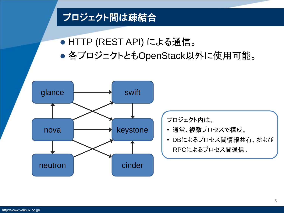### プロジェクト間は疎結合

- HTTP (REST API) による通信。
- 各プロジェクトともOpenStack以外に使用可能。

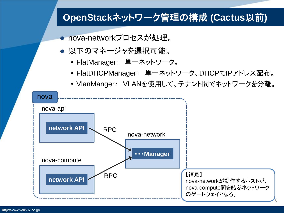### **OpenStack**ネットワーク管理の構成 **(Cactus**以前**)**

- nova-networkプロセスが処理。
- 以下のマネージャを選択可能。
	- FlatManager: 単一ネットワーク。
	- FlatDHCPManager: 単一ネットワーク、DHCPでIPアドレス配布。
	- VlanManger: VLANを使用して、テナント間でネットワークを分離。

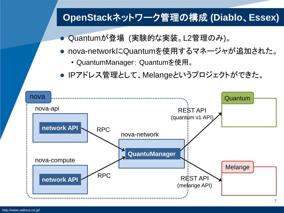### **OpenStack**ネットワーク管理の構成 **(Diablo**、**Essex)**

- Quantumが登場 (実験的な実装。L2管理のみ)。
- nova-networkにQuantumを使用するマネージャが追加された。
	- QuantumManager: Quantumを使用。
- IPアドレス管理として、Melangeというプロジェクトができた。

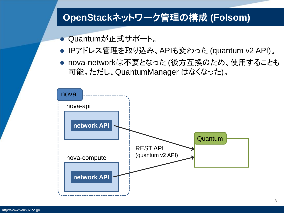#### **OpenStack**ネットワーク管理の構成 **(Folsom)**

- Quantumが正式サポート。
- IPアドレス管理を取り込み、APIも変わった (quantum v2 API)。
- nova-networkは不要となった (後方互換のため、使用することも 可能。ただし、QuantumManager はなくなった)。

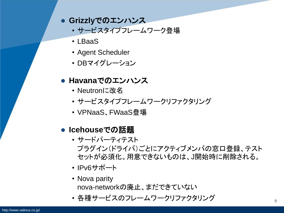#### **Grizzly**でのエンハンス

- サービスタイプフレームワーク登場
- LBaaS
- Agent Scheduler
- DBマイグレーション

#### **Havana**でのエンハンス

- Neutronに改名
- サービスタイプフレームワークリファクタリング
- VPNaaS、FWaaS登場

#### **● Icehouseでの話題**

- サードパーティテスト プラグイン(ドライバ)ごとにアクティブメンバの窓口登録、テスト セットが必須化。用意できないものは、J開始時に削除される。
- IPv6サポート
- Nova parity nova-networkの廃止、まだできていない
- 各種サービスのフレームワークリファクタリング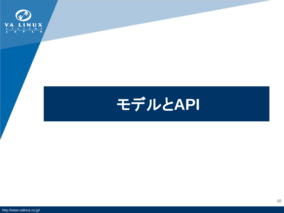

## モデルと**API**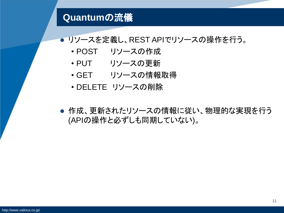#### **Quantum**の流儀

#### リソースを定義し、REST APIでリソースの操作を行う。

- POST リソースの作成
- PUT リソースの更新
- GET リソースの情報取得
- DELETE リソースの削除
- 作成、更新されたリソースの情報に従い、物理的な実現を行う (APIの操作と必ずしも同期していない)。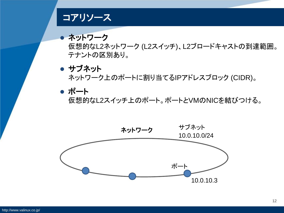#### コアリソース

● ネットワーク 仮想的なL2ネットワーク (L2スイッチ)、L2ブロードキャストの到達範囲。 テナントの区別あり。

● サブネット ネットワーク上のポートに割り当てるIPアドレスブロック (CIDR)。

ポート

仮想的なL2スイッチ上のポート。ポートとVMのNICを結びつける。

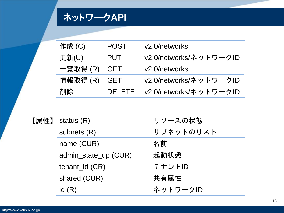### ネットワーク**API**

| 作成(C)   | <b>POST</b>   | v2.0/networks              |
|---------|---------------|----------------------------|
| 更新(U)   | <b>PUT</b>    | v2.0/networks/ネットワークID     |
| 一覧取得(R) | GET           | v <sub>2.0</sub> /networks |
| 情報取得(R) | GET           | v2.0/networks/ネットワークID     |
| 削除      | <b>DELETE</b> | v2.0/networks/ネットワークID     |

| 【属性】 status $(R)$    | リソースの状態   |
|----------------------|-----------|
| subnets $(R)$        | サブネットのリスト |
| name (CUR)           | 名前        |
| admin_state_up (CUR) | 起動状態      |
| $t$ enant_id $(CR)$  | テナントID    |
| shared (CUR)         | 共有属性      |
| id(R)                | ネットワークID  |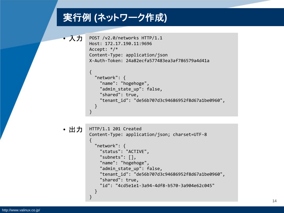### 実行例 **(**ネットワーク作成**)**

```
• 入力 POST /v2.0/networks HTTP/1.1
         Host: 172.17.190.11:9696
         Accept: */*
         Content-Type: application/json
         X-Auth-Token: 24a82ecfa577483ea3af786579a4d41a
```

```
\{ "network": {
     "name": "hogehoge",
    "admin state up": false,
     "shared": true,
     "tenant_id": "de56b707d3c94686952f8d67a1be0960",
  }
}
```

```
HTTP/1.1 201 Created
          Content-Type: application/json; charset=UTF-8
          {
             "network": {
               "status": "ACTIVE",
               "subnets": [],
               "name": "hogehoge",
              "admin state up": false,
               "tenant_id": "de56b707d3c94686952f8d67a1be0960",
               "shared": true,
               "id": "4cd5e1e1-3a94-4df8-b570-3a904e62c045"
             }
          }
• 出力
```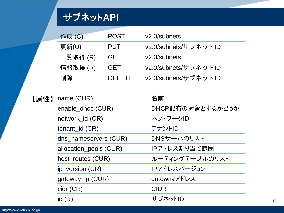### サブネット**API**

| 作成(C)    | <b>POST</b> | $v2.0$ /subnets      |
|----------|-------------|----------------------|
| 更新(U)    | <b>PUT</b>  | v2.0/subnets/サブネットID |
| 一覧取得 (R) | <b>GET</b>  | $v2.0$ /subnets      |
| 情報取得 (R) | <b>GET</b>  | v2.0/subnets/サブネットID |
| 削除       | DEI FTE     | v2.0/subnets/サブネットID |

| 【属性】 | name (CUR)             | 名前               |
|------|------------------------|------------------|
|      | enable_dhcp (CUR)      | DHCP配布の対象とするかどうか |
|      | network_id (CR)        | ネットワークID         |
|      | $t$ enant_id $(CR)$    | テナントID           |
|      | dns_nameservers (CUR)  | DNSサーバのリスト       |
|      | allocation_pools (CUR) | IPアドレス割り当て範囲     |
|      | host_routes (CUR)      | ルーティングテーブルのリスト   |
|      | ip_version (CR)        | IPアドレスバージョン      |
|      | gateway_ip (CUR)       | gatewayアドレス      |
|      | cidr (CR)              | <b>CIDR</b>      |
|      | id(R)                  | サブネットID          |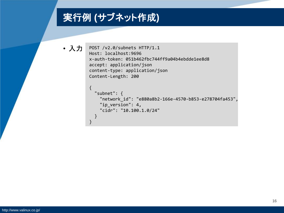### 実行例 **(**サブネット作成**)**

• 入力

```
POST /v2.0/subnets HTTP/1.1
Host: localhost:9696
x-auth-token: 051b462fbc744ff9a04b4ebdde1ee8d8
accept: application/json
content-type: application/json
Content-Length: 200
{
    "subnet": {
      "network_id": "e880a8b2-166e-4570-b853-e278704fa453",
     "ip version": 4,
      "cidr": "10.100.1.0/24"
   }
}
```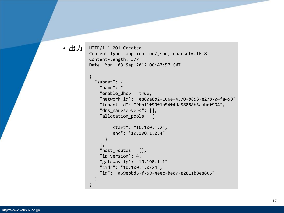#### • 出力

```
HTTP/1.1 201 Created
Content-Type: application/json; charset=UTF-8
Content-Length: 377
Date: Mon, 03 Sep 2012 06:47:57 GMT
{
   "subnet": {
     "name": "",
     "enable_dhcp": true,
     "network_id": "e880a8b2-166e-4570-b853-e278704fa453",
     "tenant_id": "9bb11f90f1b54f4da58088b5aabef994",
    "dns nameservers": [],
     "allocation_pools": [
       {
         "start": "10.100.1.2",
         "end": "10.100.1.254"
       }
     ],
    "host routes": [],
    "ip version": 4,
     "gateway_ip": "10.100.1.1",
     "cidr": "10.100.1.0/24",
     "id": "a69ebbd5-f759-4eec-be07-82811b8e8865"
   }
}
```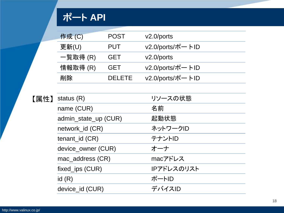### ポート **API**

| 作成(C)    | <b>POST</b>   | $v2.0$ /ports    |
|----------|---------------|------------------|
| 更新(U)    | <b>PUT</b>    | v2.0/ports/ポートID |
| 一覧取得 (R) | <b>GET</b>    | $v2.0$ /ports    |
| 情報取得 (R) | <b>GET</b>    | v2.0/ports/ポートID |
| 削除       | <b>DELETE</b> | v2.0/ports/ポートID |

【属性】

| status $(R)$         | リソースの状態    |
|----------------------|------------|
| name (CUR)           | 名前         |
| admin_state_up (CUR) | 起動状態       |
| network_id (CR)      | ネットワークID   |
| $t$ enant_id $(CR)$  | テナントID     |
| device_owner (CUR)   | オーナ        |
| mac_address (CR)     | macアドレス    |
| fixed_ips (CUR)      | IPアドレスのリスト |
| id(R)                | ポートID      |
| device_id (CUR)      | デバイスID     |
|                      |            |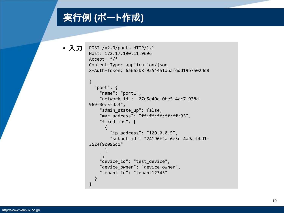### 実行例 **(**ポート作成**)**

```
• 入力 POST /v2.0/ports HTTP/1.1
          Host: 172.17.190.11:9696
          Accept: */*
          Content-Type: application/json
          X-Auth-Token: 6a662b8f9254451abaf6dd19b7502de8
          {
             "port": {
               "name": "port1",
               "network_id": "07e5e40e-0be5-4ac7-938d-
          969f0ee5fda3",
              "admin state up": false,
               "mac_address": "ff:ff:ff:ff:ff:05",
               "fixed_ips": [
          \overline{\phantom{a}} "ip_address": "100.0.0.5",
                   "subnet_id": "24196f2a-6e5e-4a9a-bbd1-
          3624f9c096d1"
                  }
               ],
              "device id": "test device",
              "device owner": "device owner",
               "tenant_id": "tenant12345"
             }
          }
```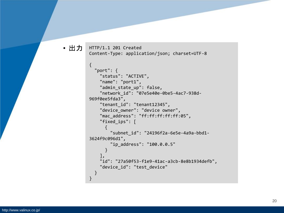#### • 出力

```
HTTP/1.1 201 Created
Content-Type: application/json; charset=UTF-8
```

```
{
   "port": {
     "status": "ACTIVE",
     "name": "port1",
    "admin state up": false,
     "network_id": "07e5e40e-0be5-4ac7-938d-
969f0ee5fda3",
     "tenant_id": "tenant12345",
    "device owner": "device owner",
     "mac_address": "ff:ff:ff:ff:ff:05",
     "fixed_ips": [
       {
         "subnet_id": "24196f2a-6e5e-4a9a-bbd1-
3624f9c096d1",
         "ip_address": "100.0.0.5"
       }
 ],
     "id": "27a50f53-f1e9-41ac-a3cb-8e8b1934defb",
     "device_id": "test_device"
  }
}
```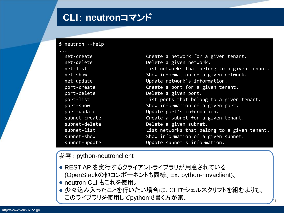#### **CLI**: **neutron**コマンド

\$ neutron --help

| net-create    | Create a network for a given tenant.         |
|---------------|----------------------------------------------|
| net-delete    | Delete a given network.                      |
| net-list      | List networks that belong to a given tenant. |
| net-show      | Show information of a given network.         |
| net-update    | Update network's information.                |
| port-create   | Create a port for a given tenant.            |
| port-delete   | Delete a given port.                         |
| port-list     | List ports that belong to a given tenant.    |
| port-show     | Show information of a given port.            |
| port-update   | Update port's information.                   |
| subnet-create | Create a subnet for a given tenant.          |
| subnet-delete | Delete a given subnet.                       |
| subnet-list   | List networks that belong to a given tenant. |
| subnet-show   | Show information of a given subnet.          |
| subnet-update | Update subnet's information.                 |
|               |                                              |

参考: python-neutronclient

- REST APIを実行するクライアントライブラリが用意されている (OpenStackの他コンポーネントも同様。Ex. python-novaclient)。
- neutron CLI もこれを使用。
- 少々込み入ったことを行いたい場合は、CLIでシェルスクリプトを組むよりも、 このライブラリを使用してpythonで書く方が楽。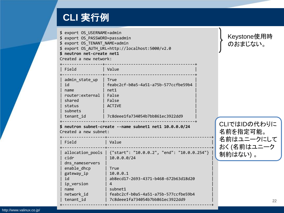### **CLI** 実行例

| \$ export OS USERNAME=admin<br>\$ neutron net-create net1<br>Created a new network:    | \$ export OS_PASSWORD=passadmin<br>\$ export OS TENANT NAME=admin<br>\$ export OS_AUTH_URL=http://localhost:5000/v2.0                            | Keystone使用時<br>のおまじない。   |
|----------------------------------------------------------------------------------------|--------------------------------------------------------------------------------------------------------------------------------------------------|--------------------------|
| Field                                                                                  | Value                                                                                                                                            |                          |
| admin state up<br>id<br>name<br>shared<br>status<br>subnets<br>tenant_id               | True<br>feabc2cf-b0a5-4a51-a75b-577ccfbe59b4<br>net1<br>router: external   False<br>  False<br><b>ACTIVE</b><br>7c8deee1fa734054b7bb861ec3922dd9 |                          |
| Created a new subnet:                                                                  | \$ neutron subnet-create --name subnet1 net1 10.0.0.0/24                                                                                         | CLIではIDの代わりに<br>名前を指定可能。 |
| Field                                                                                  | Value                                                                                                                                            | 名前はユニークにして               |
| cidr                                                                                   | allocation_pools   {"start": "10.0.0.2", "end": "10.0.0.254"}<br>10.0.0.0/24                                                                     | おく (名前はユニーク<br>制約はない)。   |
| dns nameservers<br>enable_dhcp<br>gateway_ip<br>id<br>ip_version<br>name<br>network id | True<br>10.0.0.1<br>ab8ecd17-2693-4371-b468-672b63d18d20<br>4<br>subnet1<br>feabc2cf-b0a5-4a51-a75b-577ccfbe59b4                                 |                          |
| tenant id                                                                              | 7c8deee1fa734054b7bb861ec3922dd9                                                                                                                 | 22                       |

+------------------+--------------------------------------------+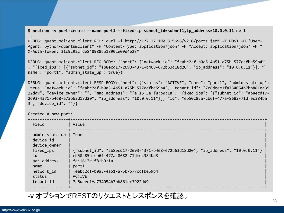**\$ neutron -v port-create --name port1 --fixed-ip subnet\_id=subnet1,ip\_address=10.0.0.11 net1** ...

DEBUG: quantumclient.client REQ: curl -i http://172.17.190.3:9696/v2.0/ports.json -X POST -H "User-Agent: python-quantumclient" -H "Content-Type: application/json" -H "Accept: application/json" -H " X-Auth-Token: 31c9c92cfde848988cb18902e09d4e23"

DEBUG: quantumclient.client REQ BODY: {"port": {"network\_id": "feabc2cf-b0a5-4a51-a75b-577ccfbe59b4" , "fixed\_ips": [{"subnet\_id": "ab8ecd17-2693-4371-b468-672b63d18d20", "ip\_address": "10.0.0.11"}], " name": "port1", "admin state up": true}}

DEBUG: quantumclient.client RESP BODY:{"port": {"status": "ACTIVE", "name": "port1", "admin\_state\_up": true, "network\_id": "feabc2cf-b0a5-4a51-a75b-577ccfbe59b4", "tenant\_id": "7c8deee1fa734054b7bb861ec39 22dd9", "device\_owner": "", "mac\_address": "fa:16:3e:f8:b0:1a", "fixed\_ips": [{"subnet\_id": "ab8ecd17- 2693-4371-b468-672b63d18d20", "ip\_address": "10.0.0.11"}], "id": "eb50c85a-cb6f-477a-8682-71dfec384ba 3", "device\_id": ""}}

Created a new port:

| Field                                                                                                                      | Value                                                                                                                                                                                                                                                       |
|----------------------------------------------------------------------------------------------------------------------------|-------------------------------------------------------------------------------------------------------------------------------------------------------------------------------------------------------------------------------------------------------------|
| admin_state_up<br>device id<br>device owner<br>fixed ips<br>id<br>mac address<br>name<br>network id<br>status<br>tenant id | True<br>{"subnet_id": "ab8ecd17-2693-4371-b468-672b63d18d20", "ip_address": "10.0.0.11"}<br>eb50c85a-cb6f-477a-8682-71dfec384ba3<br>fa:16:3e:f8:b0:1a<br>port1<br>feabc2cf-b0a5-4a51-a75b-577ccfbe59b4<br><b>ACTIVE</b><br>7c8deee1fa734054b7bb861ec3922dd9 |
|                                                                                                                            |                                                                                                                                                                                                                                                             |

#### -v オプションでRESTのリクエストとレスポンスを確認。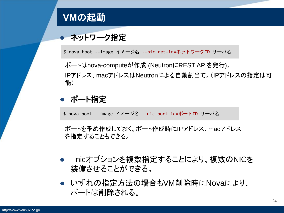### **VM**の起動

#### ● ネットワーク指定

\$ nova boot --image イメージ名 --nic net-id=ネットワークID サーバ名

ポートはnova-computeが作成 (NeutronにREST APIを発行)。 IPアドレス、macアドレスはNeutronによる自動割当て。(IPアドレスの指定は可 能)

#### ● ポート指定

\$ nova boot --image イメージ名 --nic port-id=ポートID サーバ名

ポートを予め作成しておく。ポート作成時にIPアドレス、macアドレス を指定することもできる。

- --nicオプションを複数指定することにより、複数のNICを 装備させることができる。
- いずれの指定方法の場合もVM削除時にNovaにより、 ポートは削除される。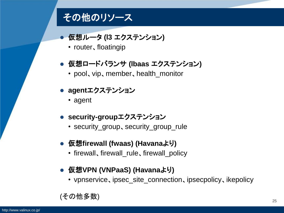#### その他のリソース

- **仮想ルータ (l3 エクステンション)** 
	- router, floatingip
- 仮想ロードバランサ **(lbaas** エクステンション**)**
	- pool, vip, member, health\_monitor
- **agent**エクステンション
	- agent
- **security-group**エクステンション
	- security\_group, security\_group\_rule
- 仮想firewall (fwaas) (Havanaより)
	- firewall、firewall\_rule、firewall\_policy
- 仮想VPN (VNPaaS) (Havanaより)
	- vpnservice、ipsec\_site\_connection、ipsecpolicy、ikepolicy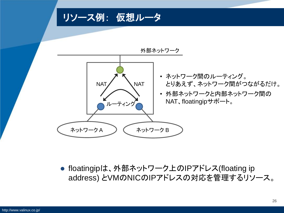リソース例: 仮想ルータ



● floatingipは、外部ネットワーク上のIPアドレス(floating ip address) とVMのNICのIPアドレスの対応を管理するリソース。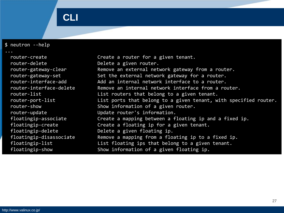### **CLI**

| $$$ neutron --help                         |                                                                                                     |
|--------------------------------------------|-----------------------------------------------------------------------------------------------------|
| $\cdots$<br>router-create<br>router-delete | Create a router for a given tenant.<br>Delete a given router.                                       |
| router-gateway-clear<br>router-gateway-set | Remove an external network gateway from a router.<br>Set the external network gateway for a router. |
| router-interface-add                       | Add an internal network interface to a router.                                                      |
| router-interface-delete<br>router-list     | Remove an internal network interface from a router.<br>List routers that belong to a given tenant.  |
| router-port-list                           | List ports that belong to a given tenant, with specified router.                                    |
| router-show                                | Show information of a given router.                                                                 |
| router-update<br>floatingip-associate      | Update router's information.<br>Create a mapping between a floating ip and a fixed ip.              |
| floatingip-create                          | Create a floating ip for a given tenant.                                                            |
| floatingip-delete                          | Delete a given floating ip.                                                                         |
| floatingip-disassociate                    | Remove a mapping from a floating ip to a fixed ip.                                                  |
| floatingip-list<br>floatingip-show         | List floating ips that belong to a given tenant.<br>Show information of a given floating ip.        |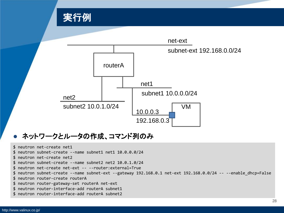

#### ● ネットワークとルータの作成、コマンド列のみ

- \$ neutron net-create net1
- \$ neutron subnet-create --name subnet1 net1 10.0.0.0/24
- \$ neutron net-create net2
- \$ neutron subnet-create --name subnet2 net2 10.0.1.0/24
- \$ neutron net-create net-ext -- --router:external=True
- \$ neutron subnet-create --name subnet-ext --gateway 192.168.0.1 net-ext 192.168.0.0/24 -- --enable\_dhcp=False
- \$ neutron router-create routerA
- \$ neutron router-gateway-set routerA net-ext
- \$ neutron router-interface-add routerA subnet1
- \$ neutron router-interface-add routerA subnet2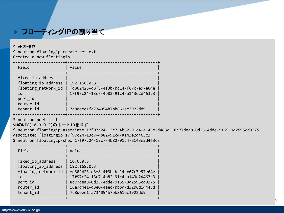#### ■ フローティングIPの割り当て

\$ VMの作成

\$ neutron floatingip-create net-ext Created a new floatingip:

| Field                                                                                                     | Value                                                                                                                                                                                                                                      |
|-----------------------------------------------------------------------------------------------------------|--------------------------------------------------------------------------------------------------------------------------------------------------------------------------------------------------------------------------------------------|
| fixed_ip_address<br>floating_ip_address<br>floating network id<br>id<br>port_id<br>router_id<br>tenant_id | 192.168.0.3<br>fd302423-d3f8-4f3b-bc14-f67c7e97e64e<br>17f97c24-13c7-4b82-91c4-a143e2d463c3<br>7c8deee1fa734054b7bb861ec3922dd9                                                                                                            |
| \$ neutron port-list<br>VMのNIC(10.0.0.3)のポートIDを探す                                                         | \$ neutron floatingip-associate 17f97c24-13c7-4b82-91c4-a143e2d463c3 8c77dea8-0d25-4dde-9165-9d2595cd9375<br>Associated floatingip 17f97c24-13c7-4b82-91c4-a143e2d463c3<br>\$ neutron floatingip-show 17f97c24-13c7-4b82-91c4-a143e2d463c3 |
| Field                                                                                                     | Value                                                                                                                                                                                                                                      |
| fixed ip address<br>floating ip address<br>floating_network_id<br>id<br>port_id<br>router id<br>tenant id | 10.0.0.3<br>  192.168.0.3<br>fd302423-d3f8-4f3b-bc14-f67c7e97e64e<br>17f97c24-13c7-4b82-91c4-a143e2d463c3<br>8c77dea8-0d25-4dde-9165-9d2595cd9375<br>16a7d4e1-d3e0-4aec-bbbd-d32b6d14448d<br>7c8deee1fa734054b7bb861ec3922dd9              |

+---------------------+--------------------------------------+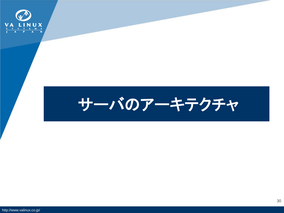

## サーバのアーキテクチャ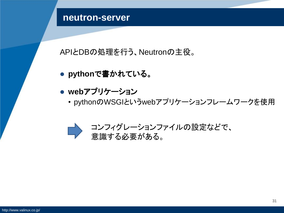#### **neutron-server**

APIとDBの処理を行う、Neutronの主役。

- **python**で書かれている。
- **web**アプリケーション
	- pythonのWSGIというwebアプリケーションフレームワークを使用

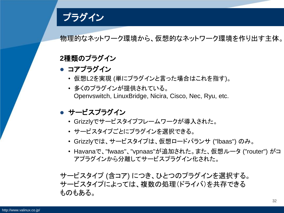プラグイン

物理的なネットワーク環境から、仮想的なネットワーク環境を作り出す主体。

#### **2**種類のプラグイン

- コアプラグイン
	- 仮想L2を実現 (単にプラグインと言った場合はこれを指す)。
	- 多くのプラグインが提供されている。 Openvswitch, LinuxBridge, Nicira, Cisco, Nec, Ryu, etc.
- サービスプラグイン
	- Grizzlyでサービスタイプフレームワークが導入された。
	- サービスタイプごとにプラグインを選択できる。
	- Grizzlyでは、サービスタイプは、仮想ロードバランサ ("lbaas") のみ。
	- Havanaで、"fwaas"、"vpnaas"が追加された。また、仮想ルータ ("router") がコ アプラグインから分離してサービスプラグイン化された。

サービスタイプ (含コア) につき、ひとつのプラグインを選択する。 サービスタイプによっては、複数の処理(ドライバ)を共存できる ものもある。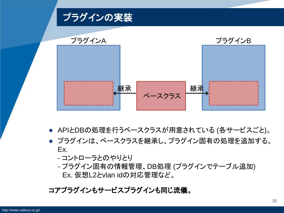

- APIとDBの処理を行うベースクラスが用意されている (各サービスごと)。
- プラグインは、ベースクラスを継承し、プラグイン固有の処理を追加する。 Ex.
	- コントローラとのやりとり
	- プラグイン固有の情報管理、DB処理 (プラグインでテーブル追加) Ex. 仮想L2とvlan idの対応管理など。

#### コアプラグインもサービスプラグインも同じ流儀。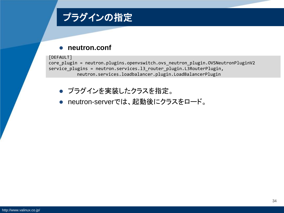

#### **neutron.conf**

#### [DEFAULT]

core plugin = neutron.plugins.openvswitch.ovs neutron plugin.OVSNeutronPluginV2 service\_plugins = neutron.services.l3\_router\_plugin.L3RouterPlugin, neutron.services.loadbalancer.plugin.LoadBalancerPlugin

- プラグインを実装したクラスを指定。
- neutron-serverでは、起動後にクラスをロード。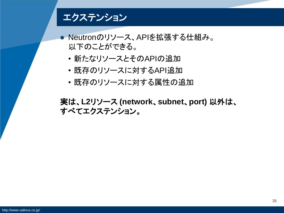#### エクステンション

● Neutronのリソース、APIを拡張する仕組み。 以下のことができる。

- 新たなリソースとそのAPIの追加
- 既存のリソースに対するAPI追加
- 既存のリソースに対する属性の追加

実は、**L2**リソース **(network**、**subnet**、**port)** 以外は、 すべてエクステンション。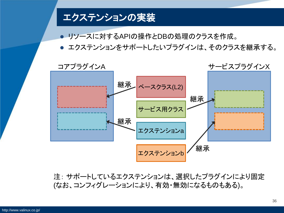

リソースに対するAPIの操作とDBの処理のクラスを作成。

● エクステンションをサポートしたいプラグインは、そのクラスを継承する。



注: サポートしているエクステンションは、選択したプラグインにより固定 (なお、コンフィグレーションにより、有効・無効になるものもある)。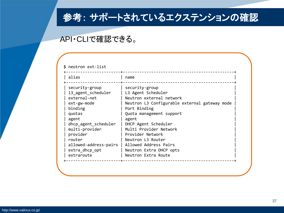### 参考: サポートされているエクステンションの確認

#### API・CLIで確認できる。

#### \$ neutron ext-list

| alias                                                                                                                                                                                                                      | name                                                                                                                                                                                                                                                                                                                                         |
|----------------------------------------------------------------------------------------------------------------------------------------------------------------------------------------------------------------------------|----------------------------------------------------------------------------------------------------------------------------------------------------------------------------------------------------------------------------------------------------------------------------------------------------------------------------------------------|
| security-group<br>13_agent_scheduler<br>external-net<br>ext-gw-mode<br>binding<br>quotas<br>agent<br>dhcp_agent_scheduler<br>multi-provider<br>provider<br>router<br>allowed-address-pairs<br>extra_dhcp_opt<br>extraroute | security-group<br>L3 Agent Scheduler<br>Neutron external network<br>Neutron L3 Configurable external gateway mode<br>Port Binding<br>Quota management support<br>agent<br>DHCP Agent Scheduler<br>Multi Provider Network<br>Provider Network<br>Neutron L3 Router<br>Allowed Address Pairs<br>Neutron Extra DHCP opts<br>Neutron Extra Route |
|                                                                                                                                                                                                                            |                                                                                                                                                                                                                                                                                                                                              |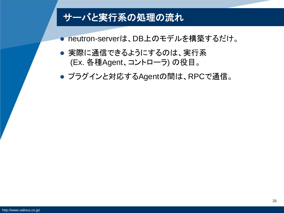### サーバと実行系の処理の流れ

● neutron-serverは、DB上のモデルを構築するだけ。

● 実際に通信できるようにするのは、実行系 (Ex. 各種Agent、コントローラ) の役目。

● プラグインと対応するAgentの間は、RPCで通信。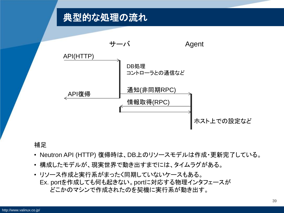### 典型的な処理の流れ



#### 補足

- Neutron API (HTTP) 復帰時は、DB上のリソースモデルは作成・更新完了している。
- 構成したモデルが、現実世界で動き出すまでには、タイムラグがある。
- リソース作成と実行系がまったく同期していないケースもある。 Ex. portを作成しても何も起きない。portに対応する物理インタフェースが どこかのマシンで作成されたのを契機に実行系が動き出す。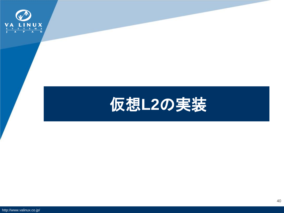

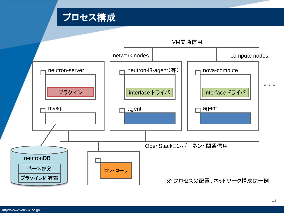

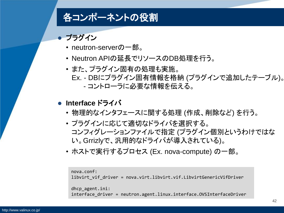### 各コンポーネントの役割

- プラグイン
	- neutron-serverの一部。
	- Neutron APIの延長でリソースのDB処理を行う。
	- また、プラグイン固有の処理も実施。 Ex. - DBにプラグイン固有情報を格納 (プラグインで追加したテーブル)。 - コントローラに必要な情報を伝える。

#### **Interface** ドライバ

- 物理的なインタフェースに関する処理 (作成、削除など) を行う。
- プラグインに応じて適切なドライバを選択する。 コンフィグレーションファイルで指定 (プラグイン個別というわけではな い。Grrizlyで、汎用的なドライバが導入されている)。
- ホストで実行するプロセス (Ex. nova-compute) の一部。

```
nova.conf:
libvirt_vif_driver = nova.virt.libvirt.vif.LibvirtGenericVifDriver
dhcp_agent.ini:
interface driver = neutron.agent.linux.interface.OVSInterfaceDriver
```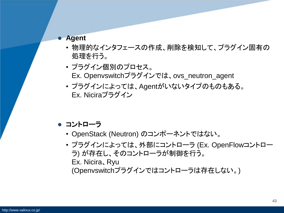#### **Agent**

- 物理的なインタフェースの作成、削除を検知して、プラグイン固有の 処理を行う。
- プラグイン個別のプロセス。 Ex. Openvswitchプラグインでは、ovs\_neutron\_agent
- プラグインによっては、Agentがいないタイプのものもある。 Ex. Niciraプラグイン
- コントローラ
	- OpenStack (Neutron) のコンポーネントではない。
	- プラグインによっては、外部にコントローラ (Ex. OpenFlowコントロー ラ) が存在し、そのコントローラが制御を行う。 Ex. Nicira、Ryu (Openvswitchプラグインではコントローラは存在しない。)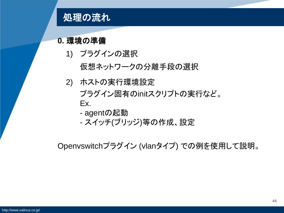

#### **0.** 環境の準備

1) プラグインの選択

仮想ネットワークの分離手段の選択

- 2) ホストの実行環境設定 プラグイン固有のinitスクリプトの実行など。 Ex.
	- agentの起動
	- スイッチ(ブリッジ)等の作成、設定

Openvswitchプラグイン (vlanタイプ) での例を使用して説明。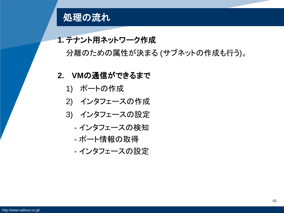

#### **1.** テナント用ネットワーク作成

分離のための属性が決まる (サブネットの作成も行う)。

#### **2. VM**の通信ができるまで

- 1) ポートの作成
- 2) インタフェースの作成
- 3) インタフェースの設定
	- インタフェースの検知
	- ポート情報の取得
	- インタフェースの設定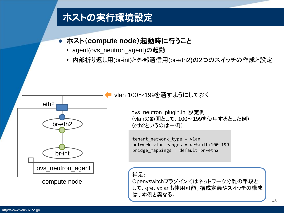### ホストの実行環境設定

#### **● ホスト(compute node)起動時に行うこと**

- agent(ovs\_neutron\_agent)の起動
- 内部折り返し用(br-int)と外部通信用(br-eth2)の2つのスイッチの作成と設定



compute node

vlan 100~199を通すようにしておく

ovs\_neutron\_plugin.ini 設定例 (vlanの範囲として、100~199を使用するとした例) (eth2というのは一例)

tenant network type = vlan network vlan ranges = default:100:199 bridge mappings = default: $br$ -eth2

補足:

Openvswitchプラグインではネットワーク分離の手段と して、gre、vxlanも使用可能。構成定義やスイッチの構成 は、本例と異なる。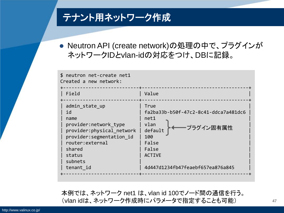### テナント用ネットワーク作成

● Neutron API (create network)の処理の中で、プラグインが ネットワークIDとvlan-idの対応をつけ、DBに記録。

| \$ neutron net-create net1<br>Created a new network:                                                                                                                              |                                                                                                                                                                    |
|-----------------------------------------------------------------------------------------------------------------------------------------------------------------------------------|--------------------------------------------------------------------------------------------------------------------------------------------------------------------|
| Field                                                                                                                                                                             | Value                                                                                                                                                              |
| admin state up<br>id<br>name<br>provider: network type<br>provider: physical network<br>provider: segmentation id<br>router: external<br>shared<br>status<br>subnets<br>tenant id | True<br>fa2ba33b-b50f-47c2-8c41-ddca7a481dc6<br>net1<br>vlan<br>プラグイン固有属性<br>default<br>100<br>False<br>False<br><b>ACTIVE</b><br>4d447d1234fb47feaebf657ea876a845 |

本例では、ネットワーク net1 は、vlan id 100でノード間の通信を行う。 (vlan idは、ネットワーク作成時にパラメータで指定することも可能)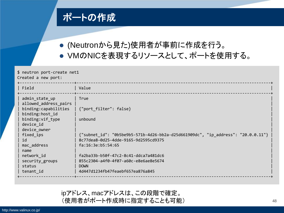### ポートの作成

- (Neutronから見た)使用者が事前に作成を行う。
- VMのNICを表現するリソースとして、ポートを使用する。

| \$ neutron port-create net1<br>Created a new port:                                                                                                                                                                                     |                                                                                                                                                                                                                                                                                                                               |  |  |  |  |  |
|----------------------------------------------------------------------------------------------------------------------------------------------------------------------------------------------------------------------------------------|-------------------------------------------------------------------------------------------------------------------------------------------------------------------------------------------------------------------------------------------------------------------------------------------------------------------------------|--|--|--|--|--|
| Field                                                                                                                                                                                                                                  | Value                                                                                                                                                                                                                                                                                                                         |  |  |  |  |  |
| admin_state_up<br>allowed address pairs<br>binding: capabilities<br>binding:host_id<br>binding:vif_type<br>device id<br>device_owner<br>fixed_ips<br>id<br>mac address<br>name<br>network id<br>security_groups<br>status<br>tenant_id | True<br>{"port_filter": false}<br>unbound<br>{"subnet_id": "0b5be9b5-571b-4d26-bb2a-d25d661909dc", "ip_address": "20.0.0.11"}<br>8c77dea8-0d25-4dde-9165-9d2595cd9375<br>fa:16:3e:b5:54:65<br>fa2ba33b-b50f-47c2-8c41-ddca7a481dc6<br>855c2304-a4f0-4f07-a60c-e8e6ae8e5674<br><b>DOWN</b><br>4d447d1234fb47feaebf657ea876a845 |  |  |  |  |  |

ipアドレス、macアドレスは、この段階で確定。 (使用者がポート作成時に指定することも可能)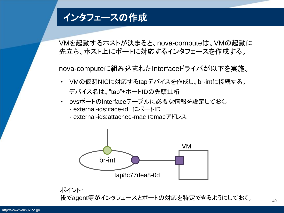### インタフェースの作成

VMを起動するホストが決まると、nova-computeは、VMの起動に 先立ち、ホスト上にポートに対応するインタフェースを作成する。

nova-computeに組み込まれたInterfaceドライバが以下を実施。

- VMの仮想NICに対応するtapデバイスを作成し、br-intに接続する。 デバイス名は、"tap"+ポートIDの先頭11桁
- ovsポートのInterfaceテーブルに必要な情報を設定しておく。
	- external-ids:iface-id にポートID
	- external-ids:attached-mac にmacアドレス



ポイント: 後でagent等がインタフェースとポートの対応を特定できるようにしておく。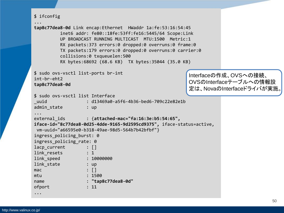```
$ ifconfig
...
tap8c77dea8-0d Link encap:Ethernet HWaddr 1a:fe:53:16:54:45 
          inet6 addr: fe80::18fe:53ff:fe16:5445/64 Scope:Link
         UP BROADCAST RUNNING MULTICAST MTU:1500 Metric:1
          RX packets:373 errors:0 dropped:0 overruns:0 frame:0
          TX packets:179 errors:0 dropped:0 overruns:0 carrier:0
          collisions:0 txqueuelen:500 
          RX bytes:68692 (68.6 KB) TX bytes:35044 (35.0 KB)
$ sudo ovs-vsctl list-ports br-int
int-br-eht2
tap8c77dea8-0d
$ sudo ovs-vsctl list Interface
_uuid : d13469a0-a5f6-4b36-bed6-709c22e82e1b
admin state : up
...
external_ids : {attached-mac="fa:16:3e:b5:54:65", 
iface-id="8c77dea8-0d25-4dde-9165-9d2595cd9375", iface-status=active,
vm-uuid="a66595e0-b318-49ae-98d5-564b7b42bfbf"}
ingress policing burst: 0
ingress policing rate: 0
lacp current : []
link resets : 1
link_speed : 10000000
link state : up
\mathsf{mac} : \lceil \cdot \rceilmtu : 1500
name : "tap8c77dea8-0d"
ofport : 11
...
                                                     Interfaceの作成、OVSへの接続、
                                                     OVSのInterfaceテーブルへの情報設
                                                     定は、NovaのInterfaceドライバが実施。
```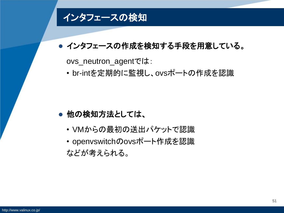### インタフェースの検知

#### ● インタフェースの作成を検知する手段を用意している。

ovs\_neutron\_agentでは:

• br-intを定期的に監視し、ovsポートの作成を認識

#### ● 他の検知方法としては、

• VMからの最初の送出パケットで認識

• openvswitchのovsポート作成を認識 などが考えられる。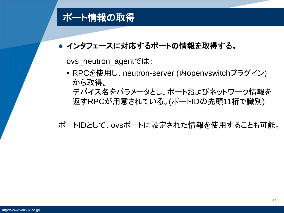### ポート情報の取得

#### ● インタフェースに対応するポートの情報を取得する。

ovs\_neutron\_agentでは:

• RPCを使用し、neutron-server (内openvswitchプラグイン) から取得。 デバイス名をパラメータとし、ポートおよびネットワーク情報を 返すRPCが用意されている。(ポートIDの先頭11桁で識別)

ポートIDとして、ovsポートに設定された情報を使用することも可能。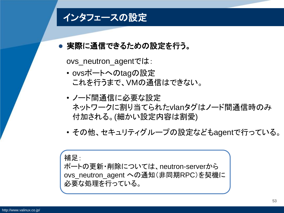### インタフェースの設定

#### 実際に通信できるための設定を行う。

ovs\_neutron\_agentでは:

- ovsポートへのtagの設定 これを行うまで、VMの通信はできない。
- ノード間通信に必要な設定 ネットワークに割り当てられたvlanタグはノード間通信時のみ 付加される。(細かい設定内容は割愛)
- その他、セキュリティグループの設定などもagentで行っている。

補足:

ポートの更新・削除については、neutron-serverから ovs\_neutron\_agent への通知(非同期RPC)を契機に 必要な処理を行っている。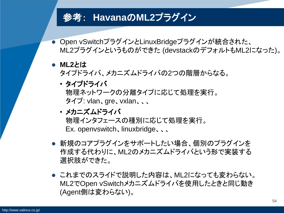### 参考: **Havana**の**ML2**プラグイン

- Open vSwitchプラグインとLinuxBridgeプラグインが統合された、 ML2プラグインというものができた (devstackのデフォルトもML2になった)。
- ML2*と*は

タイプドライバ、メカニズムドライバの2つの階層からなる。

- タイプドライバ 物理ネットワークの分離タイプに応じて処理を実行。 タイプ: vlan、gre、vxlan、、、
- メカニズムドライバ 物理インタフェースの種別に応じて処理を実行。 Ex. openvswitch、linuxbridge、、、
- 新規のコアプラグインをサポートしたい場合、個別のプラグインを 作成する代わりに、ML2のメカニズムドライバという形で実装する 選択肢ができた。
- これまでのスライドで説明した内容は、ML2になっても変わらない。 ML2でOpen vSwitchメカニズムドライバを使用したときと同じ動き (Agent側は変わらない)。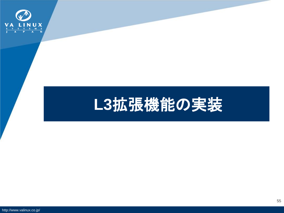

## **L3**拡張機能の実装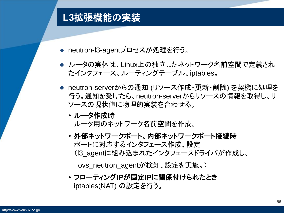### **L3**拡張機能の実装

- neutron-l3-agentプロセスが処理を行う。
- ルータの実体は、Linux上の独立したネットワーク名前空間で定義され たインタフェース、ルーティングテーブル、iptables。
- neutron-serverからの通知 (リソース作成・更新・削除) を契機に処理を 行う。通知を受けたら、neutron-serverからリソースの情報を取得し、リ ソースの現状値に物理的実装を合わせる。
	- ルータ作成時 ルータ用のネットワーク名前空間を作成。
	- 外部ネットワークポート、内部ネットワークポート接続時 ポートに対応するインタフェース作成、設定 (l3\_agentに組み込まれたインタフェースドライバが作成し、

ovs\_neutron\_agentが検知、設定を実施。)

• フローティング**IP**が固定**IP**に関係付けられたとき iptables(NAT) の設定を行う。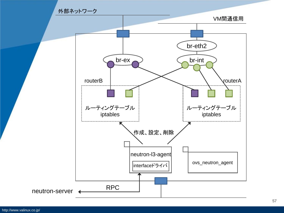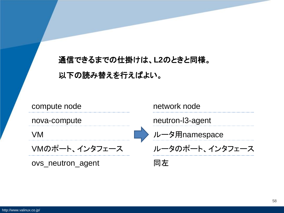### 通信できるまでの仕掛けは、**L2**のときと同様。 以下の読み替えを行えばよい。

compute node

nova-compute

VM

VMのポート、インタフェース

ovs\_neutron\_agent

network node

neutron-l3-agent

ルータ用namespace

ルータのポート、インタフェース

同左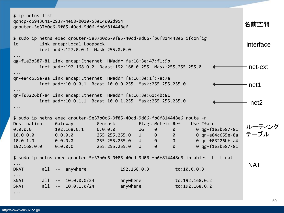| \$ ip netns list<br>qdhcp-c6943641-2937-4e68-b010-53e14002d954<br>qrouter-5e37b0c6-9f85-40cd-9d06-fb6f814448e6                                                    |          |                |                                                                                                                             |               |             |        |                         | 名前空間           |                  |                  |
|-------------------------------------------------------------------------------------------------------------------------------------------------------------------|----------|----------------|-----------------------------------------------------------------------------------------------------------------------------|---------------|-------------|--------|-------------------------|----------------|------------------|------------------|
| \$ sudo ip netns exec qrouter-5e37b0c6-9f85-40cd-9d06-fb6f814448e6 ifconfig<br>Link encap: Local Loopback<br>1 <sub>o</sub><br>inet addr:127.0.0.1 Mask:255.0.0.0 |          |                |                                                                                                                             |               |             |        |                         | interface      |                  |                  |
|                                                                                                                                                                   |          |                | qg-f1e3b587-81 Link encap:Ethernet HWaddr fa:16:3e:47:f1:9b<br>inet addr:192.168.0.2 Bcast:192.168.0.255 Mask:255.255.255.0 |               |             |        |                         |                |                  | net-ext          |
|                                                                                                                                                                   |          |                | qr-e84c655e-8a Link encap:Ethernet HWaddr fa:16:3e:1f:7e:7a<br>inet addr:10.0.0.1 Bcast:10.0.0.255 Mask:255.255.255.0       |               |             |        |                         |                |                  | net1             |
| qr-f03226bf-a4 Link encap:Ethernet HWaddr fa:16:3e:61:4b:81<br>inet addr:10.0.1.1 Bcast:10.0.1.255 Mask:255.255.255.0                                             |          |                |                                                                                                                             |               |             |        |                         |                |                  |                  |
|                                                                                                                                                                   |          |                |                                                                                                                             |               |             |        |                         |                |                  | net <sub>2</sub> |
|                                                                                                                                                                   |          |                | \$ sudo ip netns exec grouter-5e37b0c6-9f85-40cd-9d06-fb6f814448e6 route -n                                                 |               |             |        |                         |                |                  |                  |
| Destination                                                                                                                                                       |          |                | Gateway                                                                                                                     | Genmask       |             |        | Flags Metric Ref        |                | Use Iface        |                  |
| 0.0.0.0                                                                                                                                                           |          |                | 192.168.0.1                                                                                                                 | 0.0.0.0       |             | UG     | $\theta$                | 0              | 0 qg-f1e3b587-81 | ルーティング<br>テーブル   |
| 10.0.0.0                                                                                                                                                          |          |                | 0.0.0.0                                                                                                                     | 255.255.255.0 |             | $\cup$ | $\overline{\mathbf{a}}$ | $\theta$       | 0 qr-e84c655e-8a |                  |
| 10.0.1.0                                                                                                                                                          | 0.0.0.0  |                |                                                                                                                             | 255.255.255.0 |             |        | $U$ $\theta$            | $\theta$       | 0 qr-f03226bf-a4 |                  |
| 192.168.0.0 0.0.0.0                                                                                                                                               |          |                |                                                                                                                             | 255.255.255.0 |             | $\cup$ | $\theta$                | $\theta$       | 0 qg-f1e3b587-81 |                  |
| \$ sudo ip netns exec qrouter-5e37b0c6-9f85-40cd-9d06-fb6f814448e6 iptables -L -t nat                                                                             |          |                |                                                                                                                             |               |             |        |                         |                |                  |                  |
| $\ddotsc$<br><b>DNAT</b>                                                                                                                                          | all $--$ |                | anywhere                                                                                                                    |               | 192.168.0.3 |        |                         | to:10.0.0.3    |                  | <b>NAT</b>       |
| $\ddots$                                                                                                                                                          |          |                |                                                                                                                             |               |             |        |                         |                |                  |                  |
| <b>SNAT</b><br><b>SNAT</b>                                                                                                                                        | a11      |                | all $-- 10.0.0.0/24$                                                                                                        |               | anywhere    |        |                         | to:192.168.0.2 |                  |                  |
|                                                                                                                                                                   |          | $\sim$ $ ^{-}$ | 10.0.1.0/24                                                                                                                 |               | anywhere    |        |                         | to:192.168.0.2 |                  |                  |
| $\bullet\hspace{0.1cm}\bullet\hspace{0.1cm}\bullet\hspace{0.1cm}\bullet$                                                                                          |          |                |                                                                                                                             |               |             |        |                         |                |                  |                  |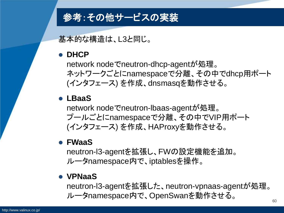### 参考:その他サービスの実装

基本的な構造は、L3と同じ。

#### **DHCP**

network nodeでneutron-dhcp-agentが処理。 ネットワークごとにnamespaceで分離、その中でdhcp用ポート (インタフェース) を作成、dnsmasqを動作させる。

#### **LBaaS**

network nodeでneutron-lbaas-agentが処理。 プールごとにnamespaceで分離、その中でVIP用ポート (インタフェース) を作成、HAProxyを動作させる。

#### **FWaaS**

neutron-l3-agentを拡張し、FWの設定機能を追加。 ルータnamespace内で、iptablesを操作。

#### **VPNaaS**

neutron-l3-agentを拡張した、neutron-vpnaas-agentが処理。 ルータnamespace内で、OpenSwanを動作させる。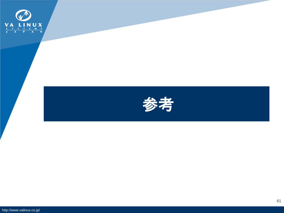